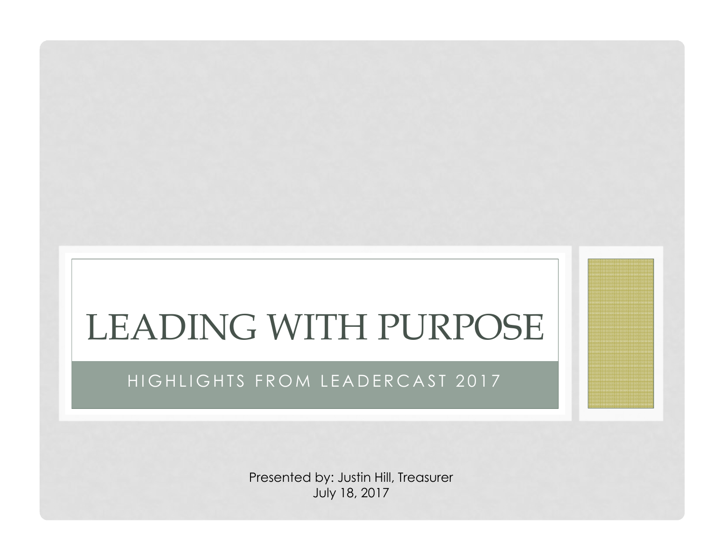# LEADING WITH PURPOSE

#### HIGHLIGHTS FROM LEADERCAST 2017

Presented by: Justin Hill, Treasurer July 18, 2017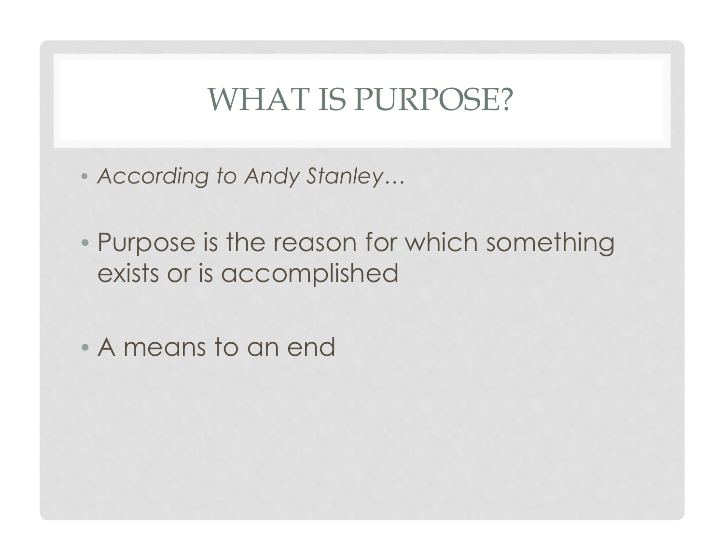## WHAT IS PURPOSE?

- *According to Andy Stanley…*
- Purpose is the reason for which something exists or is accomplished
- A means to an end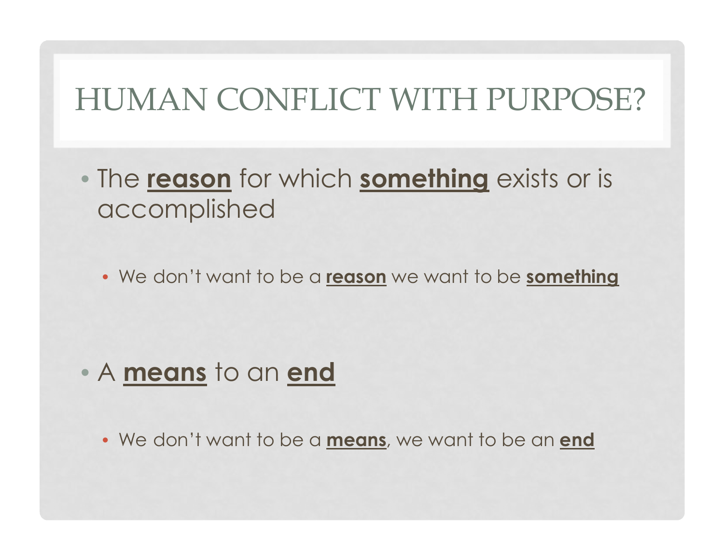## HUMAN CONFLICT WITH PURPOSE?

• The **reason** for which **something** exists or is accomplished

• We don't want to be a **reason** we want to be **something**

• <sup>A</sup>**means** to an **end**

• We don't want to be a **means**, we want to be an **end**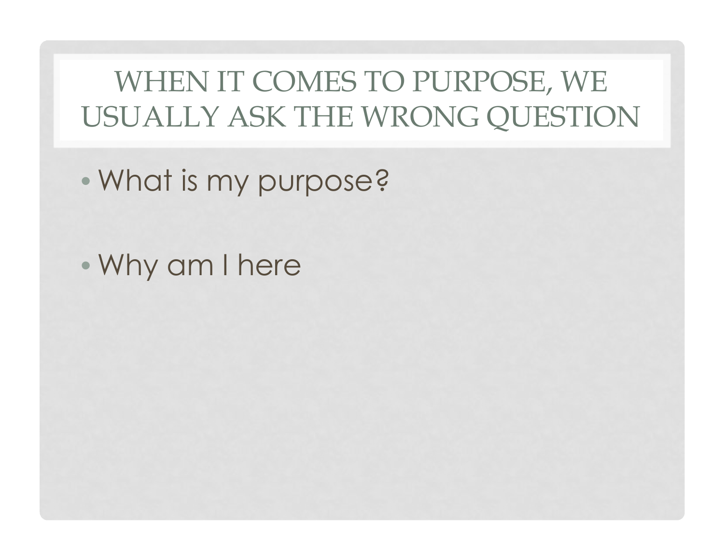## WHEN IT COMES TO PURPOSE, WE USUALLY ASK THE WRONG QUESTION

- What is my purpose?
- Why am I here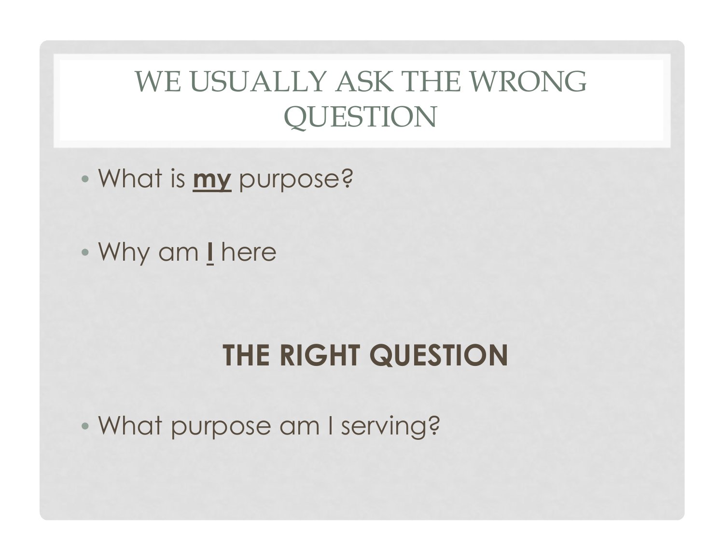## WE USUALLY ASK THE WRONG QUESTION

- What is **my** purpose?
- Why am **<sup>I</sup>** here

## **THE RIGHT QUESTION**

• What purpose am I serving?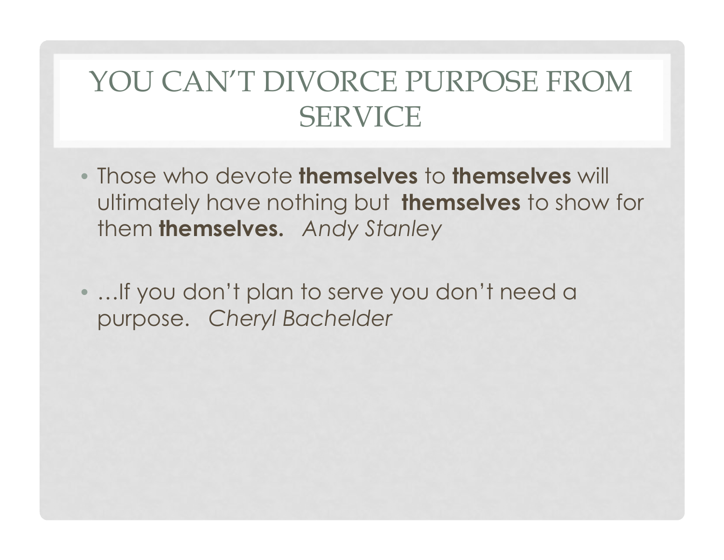## YOU CAN'T DIVORCE PURPOSE FROM SERVICE

- Those who devote **themselves** to **themselves** will ultimately have nothing but **themselves** to show for them **themselves.** *Andy Stanley*
- •*…*If you don't plan to serve you don't need a purpose. *Cheryl Bachelder*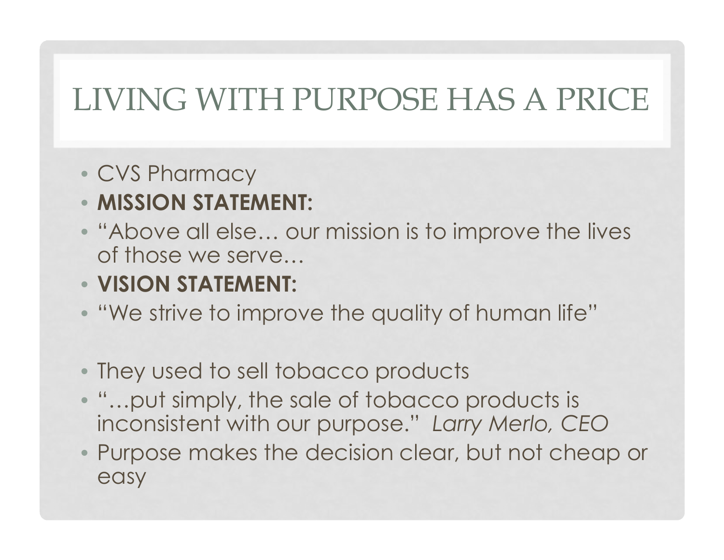## LIVING WITH PURPOSE HAS A PRICE

- CVS Pharmacy
- **MISSION STATEMENT:**
- "Above all else… our mission is to improve the lives of those we serve…
- **VISION STATEMENT:**
- "We strive to improve the quality of human life"
- They used to sell tobacco products
- "…put simply, the sale of tobacco products is inconsistent with our purpose." *Larry Merlo, CEO*
- Purpose makes the decision clear, but not cheap or easy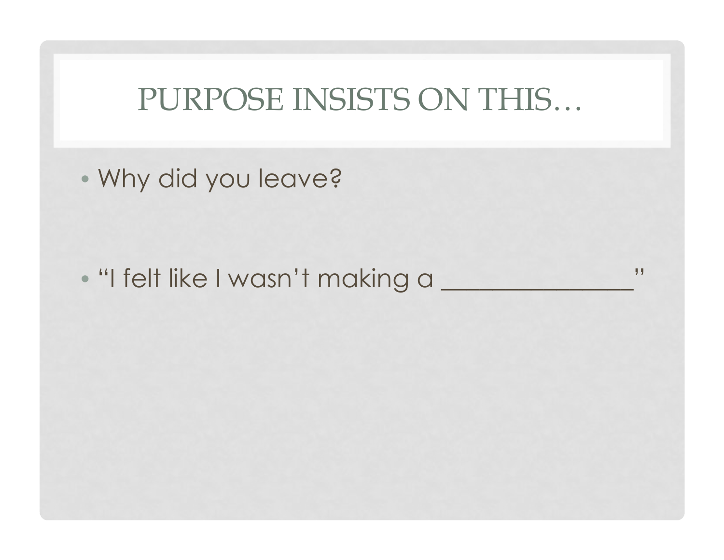## PURPOSE INSISTS ON THIS…

• Why did you leave?

• "I felt like I wasn't making a \_\_\_\_\_\_\_\_\_\_\_\_\_\_\_"